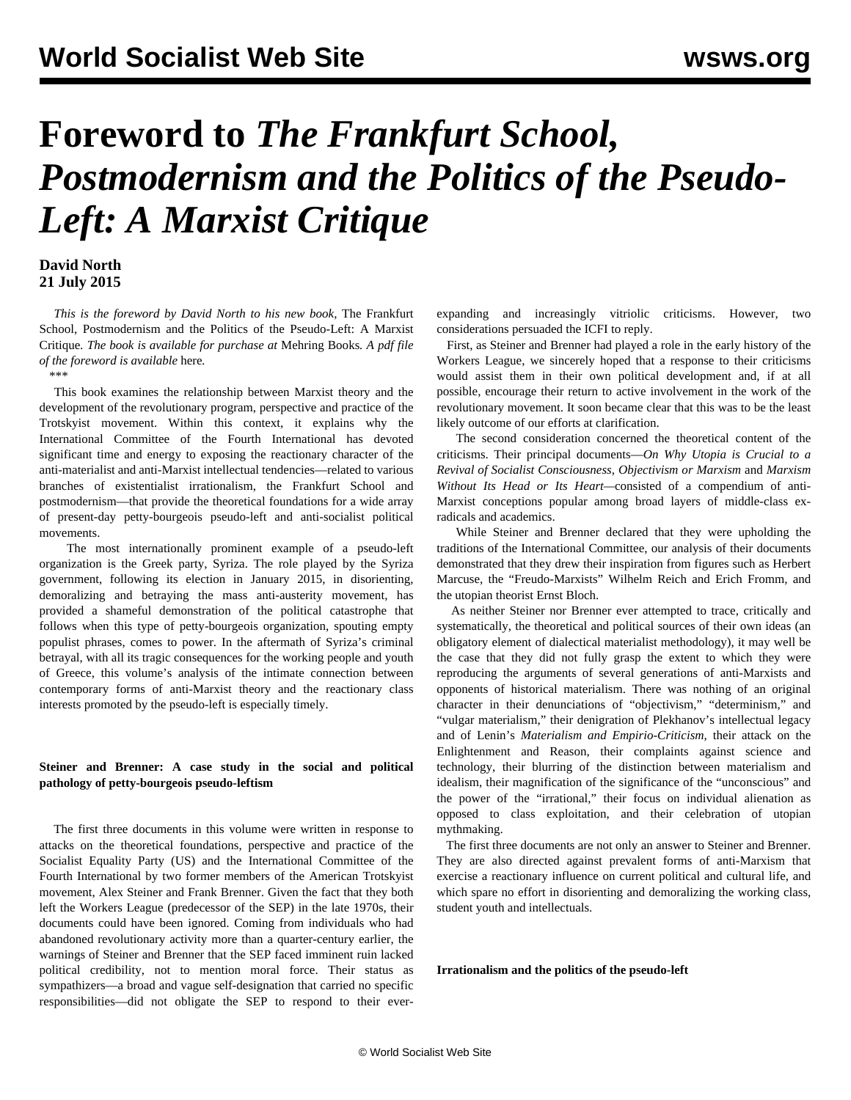# **Foreword to** *The Frankfurt School, Postmodernism and the Politics of the Pseudo-Left: A Marxist Critique*

# **David North 21 July 2015**

 *This is the foreword by David North to his new book,* The Frankfurt School, Postmodernism and the Politics of the Pseudo-Left: A Marxist Critique*. The book is available for purchase at* [Mehring Books](https://mehring.com/frankfurt-school-postmodernism.html)*. A pdf file of the foreword is available* here*.*

*\*\*\**

 This book examines the relationship between Marxist theory and the development of the revolutionary program, perspective and practice of the Trotskyist movement. Within this context, it explains why the International Committee of the Fourth International has devoted significant time and energy to exposing the reactionary character of the anti-materialist and anti-Marxist intellectual tendencies—related to various branches of existentialist irrationalism, the Frankfurt School and postmodernism—that provide the theoretical foundations for a wide array of present-day petty-bourgeois pseudo-left and anti-socialist political movements.

 The most internationally prominent example of a pseudo-left organization is the Greek party, Syriza. The role played by the Syriza government, following its election in January 2015, in disorienting, demoralizing and betraying the mass anti-austerity movement, has provided a shameful demonstration of the political catastrophe that follows when this type of petty-bourgeois organization, spouting empty populist phrases, comes to power. In the aftermath of Syriza's criminal betrayal, with all its tragic consequences for the working people and youth of Greece, this volume's analysis of the intimate connection between contemporary forms of anti-Marxist theory and the reactionary class interests promoted by the pseudo-left is especially timely.

# **Steiner and Brenner: A case study in the social and political pathology of petty-bourgeois pseudo-leftism**

 The first three documents in this volume were written in response to attacks on the theoretical foundations, perspective and practice of the Socialist Equality Party (US) and the International Committee of the Fourth International by two former members of the American Trotskyist movement, Alex Steiner and Frank Brenner. Given the fact that they both left the Workers League (predecessor of the SEP) in the late 1970s, their documents could have been ignored. Coming from individuals who had abandoned revolutionary activity more than a quarter-century earlier, the warnings of Steiner and Brenner that the SEP faced imminent ruin lacked political credibility, not to mention moral force. Their status as sympathizers—a broad and vague self-designation that carried no specific responsibilities—did not obligate the SEP to respond to their everexpanding and increasingly vitriolic criticisms. However, two considerations persuaded the ICFI to reply.

 First, as Steiner and Brenner had played a role in the early history of the Workers League, we sincerely hoped that a response to their criticisms would assist them in their own political development and, if at all possible, encourage their return to active involvement in the work of the revolutionary movement. It soon became clear that this was to be the least likely outcome of our efforts at clarification.

 The second consideration concerned the theoretical content of the criticisms. Their principal documents—*On Why Utopia is Crucial to a Revival of Socialist Consciousness*, *Objectivism or Marxism* and *Marxism Without Its Head or Its Heart—*consisted of a compendium of anti-Marxist conceptions popular among broad layers of middle-class exradicals and academics.

 While Steiner and Brenner declared that they were upholding the traditions of the International Committee, our analysis of their documents demonstrated that they drew their inspiration from figures such as Herbert Marcuse, the "Freudo-Marxists" Wilhelm Reich and Erich Fromm, and the utopian theorist Ernst Bloch.

 As neither Steiner nor Brenner ever attempted to trace, critically and systematically, the theoretical and political sources of their own ideas (an obligatory element of dialectical materialist methodology), it may well be the case that they did not fully grasp the extent to which they were reproducing the arguments of several generations of anti-Marxists and opponents of historical materialism. There was nothing of an original character in their denunciations of "objectivism," "determinism," and "vulgar materialism," their denigration of Plekhanov's intellectual legacy and of Lenin's *Materialism and Empirio-Criticism*, their attack on the Enlightenment and Reason, their complaints against science and technology, their blurring of the distinction between materialism and idealism, their magnification of the significance of the "unconscious" and the power of the "irrational," their focus on individual alienation as opposed to class exploitation, and their celebration of utopian mythmaking.

 The first three documents are not only an answer to Steiner and Brenner. They are also directed against prevalent forms of anti-Marxism that exercise a reactionary influence on current political and cultural life, and which spare no effort in disorienting and demoralizing the working class, student youth and intellectuals.

**Irrationalism and the politics of the pseudo-left**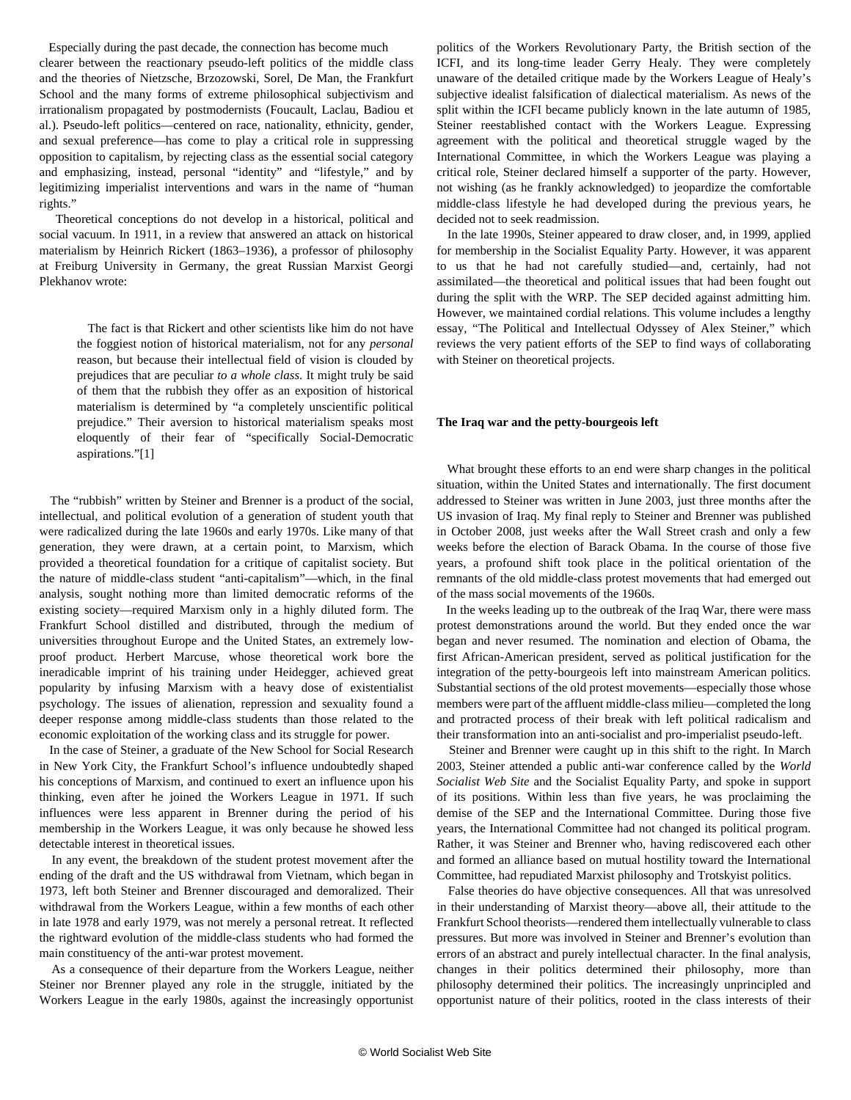Especially during the past decade, the connection has become much clearer between the reactionary pseudo-left politics of the middle class and the theories of Nietzsche, Brzozowski, Sorel, De Man, the Frankfurt School and the many forms of extreme philosophical subjectivism and irrationalism propagated by postmodernists (Foucault, Laclau, Badiou et al.). Pseudo-left politics—centered on race, nationality, ethnicity, gender, and sexual preference—has come to play a critical role in suppressing opposition to capitalism, by rejecting class as the essential social category and emphasizing, instead, personal "identity" and "lifestyle," and by legitimizing imperialist interventions and wars in the name of "human rights."

 Theoretical conceptions do not develop in a historical, political and social vacuum. In 1911, in a review that answered an attack on historical materialism by Heinrich Rickert (1863–1936), a professor of philosophy at Freiburg University in Germany, the great Russian Marxist Georgi Plekhanov wrote:

 The fact is that Rickert and other scientists like him do not have the foggiest notion of historical materialism, not for any *personal* reason, but because their intellectual field of vision is clouded by prejudices that are peculiar *to a whole class*. It might truly be said of them that the rubbish they offer as an exposition of historical materialism is determined by "a completely unscientific political prejudice." Their aversion to historical materialism speaks most eloquently of their fear of "specifically Social-Democratic aspirations."[1]

 The "rubbish" written by Steiner and Brenner is a product of the social, intellectual, and political evolution of a generation of student youth that were radicalized during the late 1960s and early 1970s. Like many of that generation, they were drawn, at a certain point, to Marxism, which provided a theoretical foundation for a critique of capitalist society. But the nature of middle-class student "anti-capitalism"—which, in the final analysis, sought nothing more than limited democratic reforms of the existing society—required Marxism only in a highly diluted form. The Frankfurt School distilled and distributed, through the medium of universities throughout Europe and the United States, an extremely lowproof product. Herbert Marcuse, whose theoretical work bore the ineradicable imprint of his training under Heidegger, achieved great popularity by infusing Marxism with a heavy dose of existentialist psychology. The issues of alienation, repression and sexuality found a deeper response among middle-class students than those related to the economic exploitation of the working class and its struggle for power.

 In the case of Steiner, a graduate of the New School for Social Research in New York City, the Frankfurt School's influence undoubtedly shaped his conceptions of Marxism, and continued to exert an influence upon his thinking, even after he joined the Workers League in 1971. If such influences were less apparent in Brenner during the period of his membership in the Workers League, it was only because he showed less detectable interest in theoretical issues.

 In any event, the breakdown of the student protest movement after the ending of the draft and the US withdrawal from Vietnam, which began in 1973, left both Steiner and Brenner discouraged and demoralized. Their withdrawal from the Workers League, within a few months of each other in late 1978 and early 1979, was not merely a personal retreat. It reflected the rightward evolution of the middle-class students who had formed the main constituency of the anti-war protest movement.

 As a consequence of their departure from the Workers League, neither Steiner nor Brenner played any role in the struggle, initiated by the Workers League in the early 1980s, against the increasingly opportunist politics of the Workers Revolutionary Party, the British section of the ICFI, and its long-time leader Gerry Healy. They were completely unaware of the detailed critique made by the Workers League of Healy's subjective idealist falsification of dialectical materialism. As news of the split within the ICFI became publicly known in the late autumn of 1985, Steiner reestablished contact with the Workers League. Expressing agreement with the political and theoretical struggle waged by the International Committee, in which the Workers League was playing a critical role, Steiner declared himself a supporter of the party. However, not wishing (as he frankly acknowledged) to jeopardize the comfortable middle-class lifestyle he had developed during the previous years, he decided not to seek readmission.

 In the late 1990s, Steiner appeared to draw closer, and, in 1999, applied for membership in the Socialist Equality Party. However, it was apparent to us that he had not carefully studied—and, certainly, had not assimilated—the theoretical and political issues that had been fought out during the split with the WRP. The SEP decided against admitting him. However, we maintained cordial relations. This volume includes a lengthy essay, "The Political and Intellectual Odyssey of Alex Steiner," which reviews the very patient efforts of the SEP to find ways of collaborating with Steiner on theoretical projects.

#### **The Iraq war and the petty-bourgeois left**

 What brought these efforts to an end were sharp changes in the political situation, within the United States and internationally. The first document addressed to Steiner was written in June 2003, just three months after the US invasion of Iraq. My final reply to Steiner and Brenner was published in October 2008, just weeks after the Wall Street crash and only a few weeks before the election of Barack Obama. In the course of those five years, a profound shift took place in the political orientation of the remnants of the old middle-class protest movements that had emerged out of the mass social movements of the 1960s.

 In the weeks leading up to the outbreak of the Iraq War, there were mass protest demonstrations around the world. But they ended once the war began and never resumed. The nomination and election of Obama, the first African-American president, served as political justification for the integration of the petty-bourgeois left into mainstream American politics. Substantial sections of the old protest movements—especially those whose members were part of the affluent middle-class milieu—completed the long and protracted process of their break with left political radicalism and their transformation into an anti-socialist and pro-imperialist pseudo-left.

 Steiner and Brenner were caught up in this shift to the right. In March 2003, Steiner attended a public anti-war conference called by the *World Socialist Web Site* and the Socialist Equality Party, and spoke in support of its positions. Within less than five years, he was proclaiming the demise of the SEP and the International Committee. During those five years, the International Committee had not changed its political program. Rather, it was Steiner and Brenner who, having rediscovered each other and formed an alliance based on mutual hostility toward the International Committee, had repudiated Marxist philosophy and Trotskyist politics.

 False theories do have objective consequences. All that was unresolved in their understanding of Marxist theory—above all, their attitude to the Frankfurt School theorists—rendered them intellectually vulnerable to class pressures. But more was involved in Steiner and Brenner's evolution than errors of an abstract and purely intellectual character. In the final analysis, changes in their politics determined their philosophy, more than philosophy determined their politics. The increasingly unprincipled and opportunist nature of their politics, rooted in the class interests of their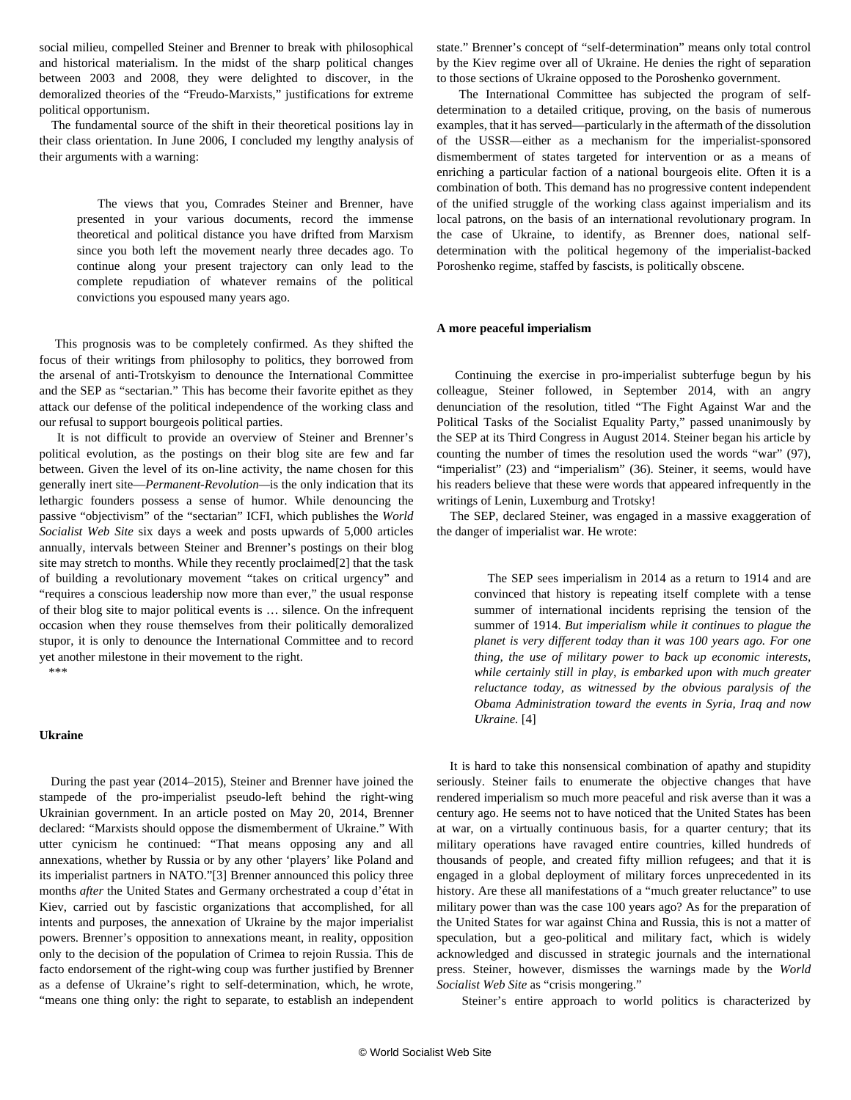social milieu, compelled Steiner and Brenner to break with philosophical and historical materialism. In the midst of the sharp political changes between 2003 and 2008, they were delighted to discover, in the demoralized theories of the "Freudo-Marxists," justifications for extreme political opportunism.

 The fundamental source of the shift in their theoretical positions lay in their class orientation. In June 2006, I concluded my lengthy analysis of their arguments with a warning:

 The views that you, Comrades Steiner and Brenner, have presented in your various documents, record the immense theoretical and political distance you have drifted from Marxism since you both left the movement nearly three decades ago. To continue along your present trajectory can only lead to the complete repudiation of whatever remains of the political convictions you espoused many years ago.

 This prognosis was to be completely confirmed. As they shifted the focus of their writings from philosophy to politics, they borrowed from the arsenal of anti-Trotskyism to denounce the International Committee and the SEP as "sectarian." This has become their favorite epithet as they attack our defense of the political independence of the working class and our refusal to support bourgeois political parties.

 It is not difficult to provide an overview of Steiner and Brenner's political evolution, as the postings on their blog site are few and far between. Given the level of its on-line activity, the name chosen for this generally inert site—*Permanent-Revolution—*is the only indication that its lethargic founders possess a sense of humor. While denouncing the passive "objectivism" of the "sectarian" ICFI, which publishes the *World Socialist Web Site* six days a week and posts upwards of 5,000 articles annually, intervals between Steiner and Brenner's postings on their blog site may stretch to months. While they recently proclaimed[2] that the task of building a revolutionary movement "takes on critical urgency" and "requires a conscious leadership now more than ever," the usual response of their blog site to major political events is … silence. On the infrequent occasion when they rouse themselves from their politically demoralized stupor, it is only to denounce the International Committee and to record yet another milestone in their movement to the right.

\*\*\*

#### **Ukraine**

 During the past year (2014–2015), Steiner and Brenner have joined the stampede of the pro-imperialist pseudo-left behind the right-wing Ukrainian government. In an article posted on May 20, 2014, Brenner declared: "Marxists should oppose the dismemberment of Ukraine." With utter cynicism he continued: "That means opposing any and all annexations, whether by Russia or by any other 'players' like Poland and its imperialist partners in NATO."[3] Brenner announced this policy three months *after* the United States and Germany orchestrated a coup d'état in Kiev, carried out by fascistic organizations that accomplished, for all intents and purposes, the annexation of Ukraine by the major imperialist powers. Brenner's opposition to annexations meant, in reality, opposition only to the decision of the population of Crimea to rejoin Russia. This de facto endorsement of the right-wing coup was further justified by Brenner as a defense of Ukraine's right to self-determination, which, he wrote, "means one thing only: the right to separate, to establish an independent state." Brenner's concept of "self-determination" means only total control by the Kiev regime over all of Ukraine. He denies the right of separation to those sections of Ukraine opposed to the Poroshenko government.

 The International Committee has subjected the program of selfdetermination to a detailed critique, proving, on the basis of numerous examples, that it has served—particularly in the aftermath of the dissolution of the USSR—either as a mechanism for the imperialist-sponsored dismemberment of states targeted for intervention or as a means of enriching a particular faction of a national bourgeois elite. Often it is a combination of both. This demand has no progressive content independent of the unified struggle of the working class against imperialism and its local patrons, on the basis of an international revolutionary program. In the case of Ukraine, to identify, as Brenner does, national selfdetermination with the political hegemony of the imperialist-backed Poroshenko regime, staffed by fascists, is politically obscene.

#### **A more peaceful imperialism**

 Continuing the exercise in pro-imperialist subterfuge begun by his colleague, Steiner followed, in September 2014, with an angry denunciation of the resolution, titled "The Fight Against War and the Political Tasks of the Socialist Equality Party," passed unanimously by the SEP at its Third Congress in August 2014. Steiner began his article by counting the number of times the resolution used the words "war" (97), "imperialist" (23) and "imperialism" (36). Steiner, it seems, would have his readers believe that these were words that appeared infrequently in the writings of Lenin, Luxemburg and Trotsky!

 The SEP, declared Steiner, was engaged in a massive exaggeration of the danger of imperialist war. He wrote:

 The SEP sees imperialism in 2014 as a return to 1914 and are convinced that history is repeating itself complete with a tense summer of international incidents reprising the tension of the summer of 1914. *But imperialism while it continues to plague the planet is very different today than it was 100 years ago. For one thing, the use of military power to back up economic interests, while certainly still in play, is embarked upon with much greater reluctance today, as witnessed by the obvious paralysis of the Obama Administration toward the events in Syria, Iraq and now Ukraine.* [4]

 It is hard to take this nonsensical combination of apathy and stupidity seriously. Steiner fails to enumerate the objective changes that have rendered imperialism so much more peaceful and risk averse than it was a century ago. He seems not to have noticed that the United States has been at war, on a virtually continuous basis, for a quarter century; that its military operations have ravaged entire countries, killed hundreds of thousands of people, and created fifty million refugees; and that it is engaged in a global deployment of military forces unprecedented in its history. Are these all manifestations of a "much greater reluctance" to use military power than was the case 100 years ago? As for the preparation of the United States for war against China and Russia, this is not a matter of speculation, but a geo-political and military fact, which is widely acknowledged and discussed in strategic journals and the international press. Steiner, however, dismisses the warnings made by the *World Socialist Web Site* as "crisis mongering."

Steiner's entire approach to world politics is characterized by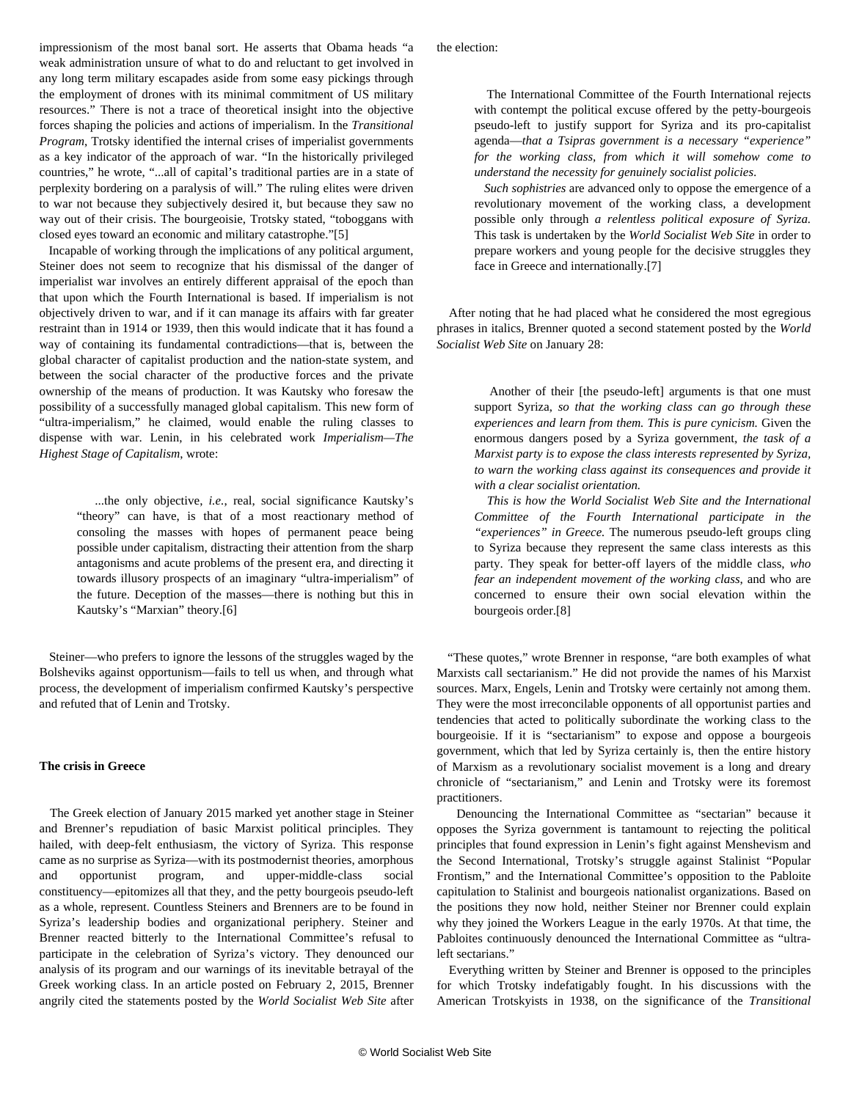impressionism of the most banal sort. He asserts that Obama heads "a weak administration unsure of what to do and reluctant to get involved in any long term military escapades aside from some easy pickings through the employment of drones with its minimal commitment of US military resources." There is not a trace of theoretical insight into the objective forces shaping the policies and actions of imperialism. In the *Transitional Program*, Trotsky identified the internal crises of imperialist governments as a key indicator of the approach of war. "In the historically privileged countries," he wrote, "...all of capital's traditional parties are in a state of perplexity bordering on a paralysis of will." The ruling elites were driven to war not because they subjectively desired it, but because they saw no way out of their crisis. The bourgeoisie, Trotsky stated, "toboggans with closed eyes toward an economic and military catastrophe."[5]

 Incapable of working through the implications of any political argument, Steiner does not seem to recognize that his dismissal of the danger of imperialist war involves an entirely different appraisal of the epoch than that upon which the Fourth International is based. If imperialism is not objectively driven to war, and if it can manage its affairs with far greater restraint than in 1914 or 1939, then this would indicate that it has found a way of containing its fundamental contradictions—that is, between the global character of capitalist production and the nation-state system, and between the social character of the productive forces and the private ownership of the means of production. It was Kautsky who foresaw the possibility of a successfully managed global capitalism. This new form of "ultra-imperialism," he claimed, would enable the ruling classes to dispense with war. Lenin, in his celebrated work *Imperialism—The Highest Stage of Capitalism*, wrote:

 ...the only objective, *i.e.*, real, social significance Kautsky's "theory" can have, is that of a most reactionary method of consoling the masses with hopes of permanent peace being possible under capitalism, distracting their attention from the sharp antagonisms and acute problems of the present era, and directing it towards illusory prospects of an imaginary "ultra-imperialism" of the future. Deception of the masses—there is nothing but this in Kautsky's "Marxian" theory.[6]

 Steiner—who prefers to ignore the lessons of the struggles waged by the Bolsheviks against opportunism—fails to tell us when, and through what process, the development of imperialism confirmed Kautsky's perspective and refuted that of Lenin and Trotsky.

### **The crisis in Greece**

 The Greek election of January 2015 marked yet another stage in Steiner and Brenner's repudiation of basic Marxist political principles. They hailed, with deep-felt enthusiasm, the victory of Syriza. This response came as no surprise as Syriza—with its postmodernist theories, amorphous and opportunist program, and upper-middle-class social constituency—epitomizes all that they, and the petty bourgeois pseudo-left as a whole, represent. Countless Steiners and Brenners are to be found in Syriza's leadership bodies and organizational periphery. Steiner and Brenner reacted bitterly to the International Committee's refusal to participate in the celebration of Syriza's victory. They denounced our analysis of its program and our warnings of its inevitable betrayal of the Greek working class. In an article posted on February 2, 2015, Brenner angrily cited the statements posted by the *World Socialist Web Site* after

 The International Committee of the Fourth International rejects with contempt the political excuse offered by the petty-bourgeois pseudo-left to justify support for Syriza and its pro-capitalist agenda—*that a Tsipras government is a necessary "experience" for the working class, from which it will somehow come to understand the necessity for genuinely socialist policies*.

 *Such sophistries* are advanced only to oppose the emergence of a revolutionary movement of the working class, a development possible only through *a relentless political exposure of Syriza.* This task is undertaken by the *World Socialist Web Site* in order to prepare workers and young people for the decisive struggles they face in Greece and internationally.[7]

 After noting that he had placed what he considered the most egregious phrases in italics, Brenner quoted a second statement posted by the *World Socialist Web Site* on January 28:

 Another of their [the pseudo-left] arguments is that one must support Syriza, *so that the working class can go through these experiences and learn from them. This is pure cynicism.* Given the enormous dangers posed by a Syriza government, *the task of a Marxist party is to expose the class interests represented by Syriza, to warn the working class against its consequences and provide it with a clear socialist orientation.*

 *This is how the World Socialist Web Site and the International Committee of the Fourth International participate in the "experiences" in Greece.* The numerous pseudo-left groups cling to Syriza because they represent the same class interests as this party. They speak for better-off layers of the middle class, *who fear an independent movement of the working class*, and who are concerned to ensure their own social elevation within the bourgeois order.[8]

 "These quotes," wrote Brenner in response, "are both examples of what Marxists call sectarianism." He did not provide the names of his Marxist sources. Marx, Engels, Lenin and Trotsky were certainly not among them. They were the most irreconcilable opponents of all opportunist parties and tendencies that acted to politically subordinate the working class to the bourgeoisie. If it is "sectarianism" to expose and oppose a bourgeois government, which that led by Syriza certainly is, then the entire history of Marxism as a revolutionary socialist movement is a long and dreary chronicle of "sectarianism," and Lenin and Trotsky were its foremost practitioners.

 Denouncing the International Committee as "sectarian" because it opposes the Syriza government is tantamount to rejecting the political principles that found expression in Lenin's fight against Menshevism and the Second International, Trotsky's struggle against Stalinist "Popular Frontism," and the International Committee's opposition to the Pabloite capitulation to Stalinist and bourgeois nationalist organizations. Based on the positions they now hold, neither Steiner nor Brenner could explain why they joined the Workers League in the early 1970s. At that time, the Pabloites continuously denounced the International Committee as "ultraleft sectarians."

 Everything written by Steiner and Brenner is opposed to the principles for which Trotsky indefatigably fought. In his discussions with the American Trotskyists in 1938, on the significance of the *Transitional*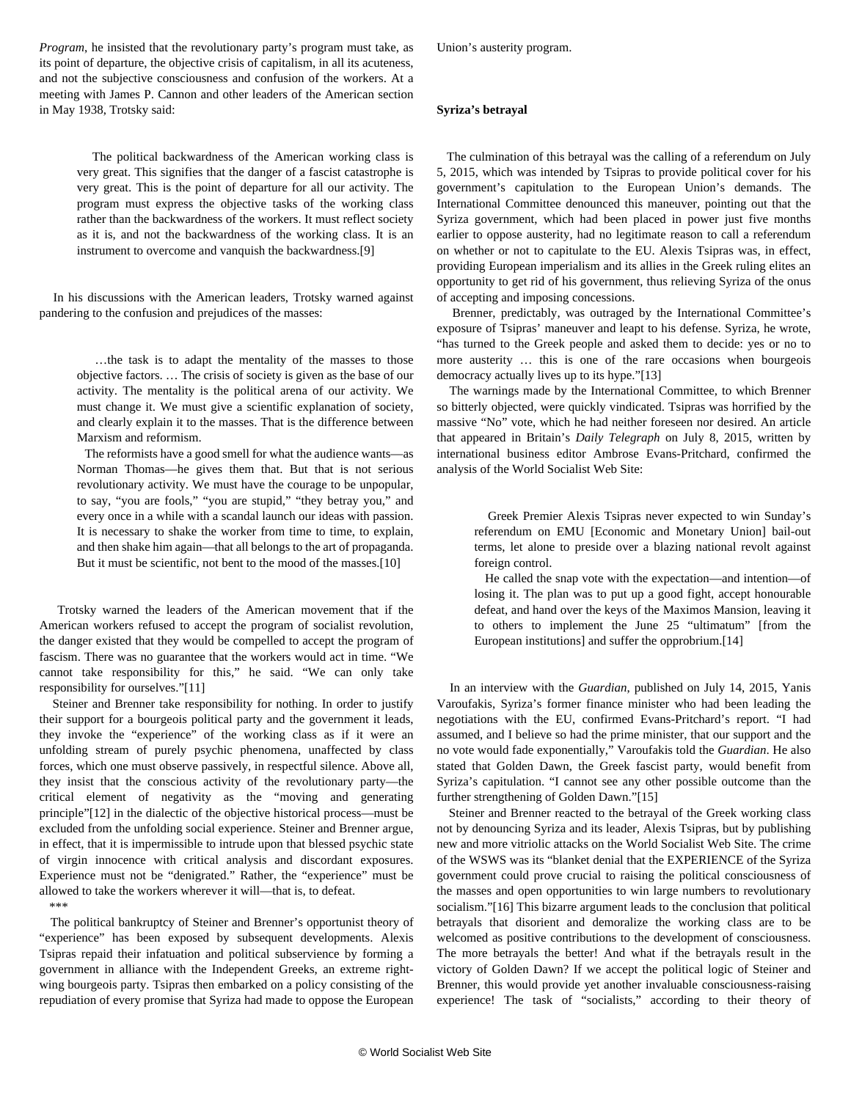*Program*, he insisted that the revolutionary party's program must take, as its point of departure, the objective crisis of capitalism, in all its acuteness, and not the subjective consciousness and confusion of the workers. At a meeting with James P. Cannon and other leaders of the American section in May 1938, Trotsky said:

 The political backwardness of the American working class is very great. This signifies that the danger of a fascist catastrophe is very great. This is the point of departure for all our activity. The program must express the objective tasks of the working class rather than the backwardness of the workers. It must reflect society as it is, and not the backwardness of the working class. It is an instrument to overcome and vanquish the backwardness.[9]

 In his discussions with the American leaders, Trotsky warned against pandering to the confusion and prejudices of the masses:

 …the task is to adapt the mentality of the masses to those objective factors. … The crisis of society is given as the base of our activity. The mentality is the political arena of our activity. We must change it. We must give a scientific explanation of society, and clearly explain it to the masses. That is the difference between Marxism and reformism.

 The reformists have a good smell for what the audience wants—as Norman Thomas—he gives them that. But that is not serious revolutionary activity. We must have the courage to be unpopular, to say, "you are fools," "you are stupid," "they betray you," and every once in a while with a scandal launch our ideas with passion. It is necessary to shake the worker from time to time, to explain, and then shake him again—that all belongs to the art of propaganda. But it must be scientific, not bent to the mood of the masses.[10]

 Trotsky warned the leaders of the American movement that if the American workers refused to accept the program of socialist revolution, the danger existed that they would be compelled to accept the program of fascism. There was no guarantee that the workers would act in time. "We cannot take responsibility for this," he said. "We can only take responsibility for ourselves."[11]

 Steiner and Brenner take responsibility for nothing. In order to justify their support for a bourgeois political party and the government it leads, they invoke the "experience" of the working class as if it were an unfolding stream of purely psychic phenomena, unaffected by class forces, which one must observe passively, in respectful silence. Above all, they insist that the conscious activity of the revolutionary party—the critical element of negativity as the "moving and generating principle"[12] in the dialectic of the objective historical process—must be excluded from the unfolding social experience. Steiner and Brenner argue, in effect, that it is impermissible to intrude upon that blessed psychic state of virgin innocence with critical analysis and discordant exposures. Experience must not be "denigrated." Rather, the "experience" must be allowed to take the workers wherever it will—that is, to defeat. *\*\*\**

 The political bankruptcy of Steiner and Brenner's opportunist theory of "experience" has been exposed by subsequent developments. Alexis Tsipras repaid their infatuation and political subservience by forming a government in alliance with the Independent Greeks, an extreme rightwing bourgeois party. Tsipras then embarked on a policy consisting of the repudiation of every promise that Syriza had made to oppose the European

Union's austerity program.

### **Syriza's betrayal**

 The culmination of this betrayal was the calling of a referendum on July 5, 2015, which was intended by Tsipras to provide political cover for his government's capitulation to the European Union's demands. The International Committee denounced this maneuver, pointing out that the Syriza government, which had been placed in power just five months earlier to oppose austerity, had no legitimate reason to call a referendum on whether or not to capitulate to the EU. Alexis Tsipras was, in effect, providing European imperialism and its allies in the Greek ruling elites an opportunity to get rid of his government, thus relieving Syriza of the onus of accepting and imposing concessions.

 Brenner, predictably, was outraged by the International Committee's exposure of Tsipras' maneuver and leapt to his defense. Syriza, he wrote, "has turned to the Greek people and asked them to decide: yes or no to more austerity … this is one of the rare occasions when bourgeois democracy actually lives up to its hype."[13]

 The warnings made by the International Committee, to which Brenner so bitterly objected, were quickly vindicated. Tsipras was horrified by the massive "No" vote, which he had neither foreseen nor desired. An article that appeared in Britain's *Daily Telegraph* on July 8, 2015, written by international business editor Ambrose Evans-Pritchard, confirmed the analysis of the World Socialist Web Site:

 Greek Premier Alexis Tsipras never expected to win Sunday's referendum on EMU [Economic and Monetary Union] bail-out terms, let alone to preside over a blazing national revolt against foreign control.

 He called the snap vote with the expectation—and intention—of losing it. The plan was to put up a good fight, accept honourable defeat, and hand over the keys of the Maximos Mansion, leaving it to others to implement the June 25 "ultimatum" [from the European institutions] and suffer the opprobrium.[14]

 In an interview with the *Guardian*, published on July 14, 2015, Yanis Varoufakis, Syriza's former finance minister who had been leading the negotiations with the EU, confirmed Evans-Pritchard's report. "I had assumed, and I believe so had the prime minister, that our support and the no vote would fade exponentially," Varoufakis told the *Guardian*. He also stated that Golden Dawn, the Greek fascist party, would benefit from Syriza's capitulation. "I cannot see any other possible outcome than the further strengthening of Golden Dawn."[15]

 Steiner and Brenner reacted to the betrayal of the Greek working class not by denouncing Syriza and its leader, Alexis Tsipras, but by publishing new and more vitriolic attacks on the World Socialist Web Site. The crime of the WSWS was its "blanket denial that the EXPERIENCE of the Syriza government could prove crucial to raising the political consciousness of the masses and open opportunities to win large numbers to revolutionary socialism."[16] This bizarre argument leads to the conclusion that political betrayals that disorient and demoralize the working class are to be welcomed as positive contributions to the development of consciousness. The more betrayals the better! And what if the betrayals result in the victory of Golden Dawn? If we accept the political logic of Steiner and Brenner, this would provide yet another invaluable consciousness-raising experience! The task of "socialists," according to their theory of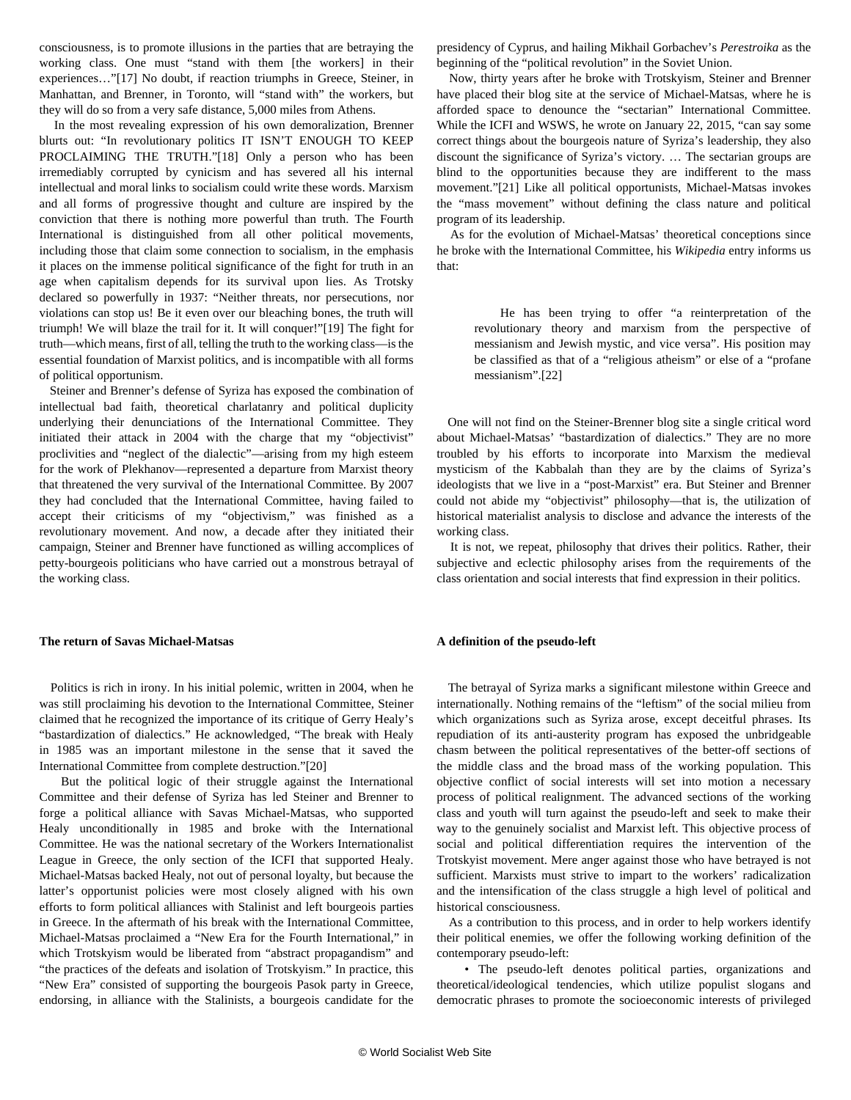consciousness, is to promote illusions in the parties that are betraying the working class. One must "stand with them [the workers] in their experiences…"[17] No doubt, if reaction triumphs in Greece, Steiner, in Manhattan, and Brenner, in Toronto, will "stand with" the workers, but they will do so from a very safe distance, 5,000 miles from Athens.

 In the most revealing expression of his own demoralization, Brenner blurts out: "In revolutionary politics IT ISN'T ENOUGH TO KEEP PROCLAIMING THE TRUTH."[18] Only a person who has been irremediably corrupted by cynicism and has severed all his internal intellectual and moral links to socialism could write these words. Marxism and all forms of progressive thought and culture are inspired by the conviction that there is nothing more powerful than truth. The Fourth International is distinguished from all other political movements, including those that claim some connection to socialism, in the emphasis it places on the immense political significance of the fight for truth in an age when capitalism depends for its survival upon lies. As Trotsky declared so powerfully in 1937: "Neither threats, nor persecutions, nor violations can stop us! Be it even over our bleaching bones, the truth will triumph! We will blaze the trail for it. It will conquer!"[19] The fight for truth—which means, first of all, telling the truth to the working class—is the essential foundation of Marxist politics, and is incompatible with all forms of political opportunism.

 Steiner and Brenner's defense of Syriza has exposed the combination of intellectual bad faith, theoretical charlatanry and political duplicity underlying their denunciations of the International Committee. They initiated their attack in 2004 with the charge that my "objectivist" proclivities and "neglect of the dialectic"—arising from my high esteem for the work of Plekhanov—represented a departure from Marxist theory that threatened the very survival of the International Committee. By 2007 they had concluded that the International Committee, having failed to accept their criticisms of my "objectivism," was finished as a revolutionary movement. And now, a decade after they initiated their campaign, Steiner and Brenner have functioned as willing accomplices of petty-bourgeois politicians who have carried out a monstrous betrayal of the working class.

## **The return of Savas Michael-Matsas**

 Politics is rich in irony. In his initial polemic, written in 2004, when he was still proclaiming his devotion to the International Committee, Steiner claimed that he recognized the importance of its critique of Gerry Healy's "bastardization of dialectics." He acknowledged, "The break with Healy in 1985 was an important milestone in the sense that it saved the International Committee from complete destruction."[20]

 But the political logic of their struggle against the International Committee and their defense of Syriza has led Steiner and Brenner to forge a political alliance with Savas Michael-Matsas, who supported Healy unconditionally in 1985 and broke with the International Committee. He was the national secretary of the Workers Internationalist League in Greece, the only section of the ICFI that supported Healy. Michael-Matsas backed Healy, not out of personal loyalty, but because the latter's opportunist policies were most closely aligned with his own efforts to form political alliances with Stalinist and left bourgeois parties in Greece. In the aftermath of his break with the International Committee, Michael-Matsas proclaimed a "New Era for the Fourth International," in which Trotskyism would be liberated from "abstract propagandism" and "the practices of the defeats and isolation of Trotskyism." In practice, this "New Era" consisted of supporting the bourgeois Pasok party in Greece, endorsing, in alliance with the Stalinists, a bourgeois candidate for the presidency of Cyprus, and hailing Mikhail Gorbachev's *Perestroika* as the beginning of the "political revolution" in the Soviet Union.

 Now, thirty years after he broke with Trotskyism, Steiner and Brenner have placed their blog site at the service of Michael-Matsas, where he is afforded space to denounce the "sectarian" International Committee. While the ICFI and WSWS, he wrote on January 22, 2015, "can say some correct things about the bourgeois nature of Syriza's leadership, they also discount the significance of Syriza's victory. … The sectarian groups are blind to the opportunities because they are indifferent to the mass movement."[21] Like all political opportunists, Michael-Matsas invokes the "mass movement" without defining the class nature and political program of its leadership.

 As for the evolution of Michael-Matsas' theoretical conceptions since he broke with the International Committee, his *Wikipedia* entry informs us that:

 He has been trying to offer "a reinterpretation of the revolutionary theory and marxism from the perspective of messianism and Jewish mystic, and vice versa". His position may be classified as that of a "religious atheism" or else of a "profane messianism".[22]

 One will not find on the Steiner-Brenner blog site a single critical word about Michael-Matsas' "bastardization of dialectics." They are no more troubled by his efforts to incorporate into Marxism the medieval mysticism of the Kabbalah than they are by the claims of Syriza's ideologists that we live in a "post-Marxist" era. But Steiner and Brenner could not abide my "objectivist" philosophy—that is, the utilization of historical materialist analysis to disclose and advance the interests of the working class.

 It is not, we repeat, philosophy that drives their politics. Rather, their subjective and eclectic philosophy arises from the requirements of the class orientation and social interests that find expression in their politics.

#### **A definition of the pseudo-left**

 The betrayal of Syriza marks a significant milestone within Greece and internationally. Nothing remains of the "leftism" of the social milieu from which organizations such as Syriza arose, except deceitful phrases. Its repudiation of its anti-austerity program has exposed the unbridgeable chasm between the political representatives of the better-off sections of the middle class and the broad mass of the working population. This objective conflict of social interests will set into motion a necessary process of political realignment. The advanced sections of the working class and youth will turn against the pseudo-left and seek to make their way to the genuinely socialist and Marxist left. This objective process of social and political differentiation requires the intervention of the Trotskyist movement. Mere anger against those who have betrayed is not sufficient. Marxists must strive to impart to the workers' radicalization and the intensification of the class struggle a high level of political and historical consciousness.

 As a contribution to this process, and in order to help workers identify their political enemies, we offer the following working definition of the contemporary pseudo-left:

 • The pseudo-left denotes political parties, organizations and theoretical/ideological tendencies, which utilize populist slogans and democratic phrases to promote the socioeconomic interests of privileged